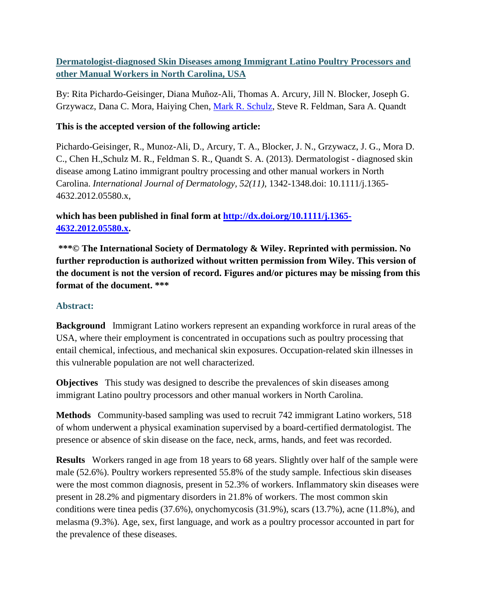# **Dermatologist-diagnosed Skin Diseases among Immigrant Latino Poultry Processors and other Manual Workers in North Carolina, USA**

By: Rita Pichardo-Geisinger, Diana Muñoz-Ali, Thomas A. Arcury, Jill N. Blocker, Joseph G. Grzywacz, Dana C. Mora, Haiying Chen, [Mark R. Schulz,](http://libres.uncg.edu/ir/uncg/clist.aspx?id=1579) Steve R. Feldman, Sara A. Quandt

# **This is the accepted version of the following article:**

Pichardo-Geisinger, R., Munoz-Ali, D., Arcury, T. A., Blocker, J. N., Grzywacz, J. G., Mora D. C., Chen H.,Schulz M. R., Feldman S. R., Quandt S. A. (2013). Dermatologist - diagnosed skin disease among Latino immigrant poultry processing and other manual workers in North Carolina. *International Journal of Dermatology, 52(11)*, 1342-1348.doi: 10.1111/j.1365- 4632.2012.05580.x,

# **which has been published in final form at [http://dx.doi.org/10.1111/j.1365-](http://dx.doi.org/10.1111/j.1365-4632.2012.05580.x) [4632.2012.05580.x.](http://dx.doi.org/10.1111/j.1365-4632.2012.05580.x)**

**\*\*\*© The International Society of Dermatology & Wiley. Reprinted with permission. No further reproduction is authorized without written permission from Wiley. This version of the document is not the version of record. Figures and/or pictures may be missing from this format of the document. \*\*\***

# **Abstract:**

**Background** Immigrant Latino workers represent an expanding workforce in rural areas of the USA, where their employment is concentrated in occupations such as poultry processing that entail chemical, infectious, and mechanical skin exposures. Occupation-related skin illnesses in this vulnerable population are not well characterized.

**Objectives** This study was designed to describe the prevalences of skin diseases among immigrant Latino poultry processors and other manual workers in North Carolina.

**Methods** Community-based sampling was used to recruit 742 immigrant Latino workers, 518 of whom underwent a physical examination supervised by a board-certified dermatologist. The presence or absence of skin disease on the face, neck, arms, hands, and feet was recorded.

**Results** Workers ranged in age from 18 years to 68 years. Slightly over half of the sample were male (52.6%). Poultry workers represented 55.8% of the study sample. Infectious skin diseases were the most common diagnosis, present in 52.3% of workers. Inflammatory skin diseases were present in 28.2% and pigmentary disorders in 21.8% of workers. The most common skin conditions were tinea pedis (37.6%), onychomycosis (31.9%), scars (13.7%), acne (11.8%), and melasma (9.3%). Age, sex, first language, and work as a poultry processor accounted in part for the prevalence of these diseases.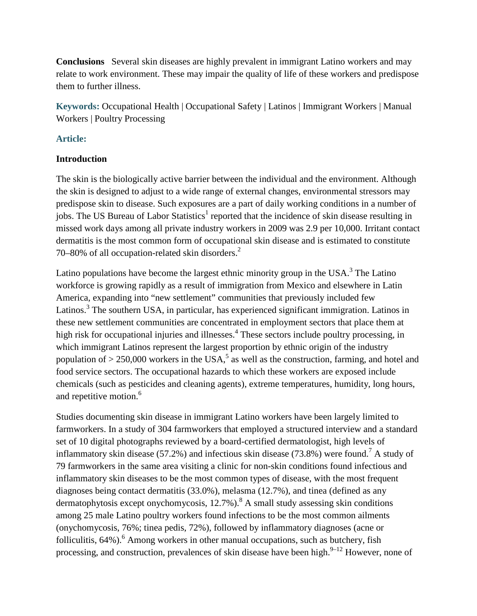**Conclusions** Several skin diseases are highly prevalent in immigrant Latino workers and may relate to work environment. These may impair the quality of life of these workers and predispose them to further illness.

**Keywords:** Occupational Health | Occupational Safety | Latinos | Immigrant Workers | Manual Workers | Poultry Processing

### **Article:**

### **Introduction**

The skin is the biologically active barrier between the individual and the environment. Although the skin is designed to adjust to a wide range of external changes, environmental stressors may predispose skin to disease. Such exposures are a part of daily working conditions in a number of jobs. The US Bureau of Labor Statistics<sup>1</sup> reported that the incidence of skin disease resulting in missed work days among all private industry workers in 2009 was 2.9 per 10,000. Irritant contact dermatitis is the most common form of occupational skin disease and is estimated to constitute 70–80% of all occupation-related skin disorders.<sup>2</sup>

Latino populations have become the largest ethnic minority group in the USA. $3$  The Latino workforce is growing rapidly as a result of immigration from Mexico and elsewhere in Latin America, expanding into "new settlement" communities that previously included few Latinos.<sup>3</sup> The southern USA, in particular, has experienced significant immigration. Latinos in these new settlement communities are concentrated in employment sectors that place them at high risk for occupational injuries and illnesses.<sup>4</sup> These sectors include poultry processing, in which immigrant Latinos represent the largest proportion by ethnic origin of the industry population of  $> 250,000$  workers in the USA,<sup>5</sup> as well as the construction, farming, and hotel and food service sectors. The occupational hazards to which these workers are exposed include chemicals (such as pesticides and cleaning agents), extreme temperatures, humidity, long hours, and repetitive motion.<sup>6</sup>

Studies documenting skin disease in immigrant Latino workers have been largely limited to farmworkers. In a study of 304 farmworkers that employed a structured interview and a standard set of 10 digital photographs reviewed by a board-certified dermatologist, high levels of inflammatory skin disease (57.2%) and infectious skin disease (73.8%) were found.<sup>7</sup> A study of 79 farmworkers in the same area visiting a clinic for non-skin conditions found infectious and inflammatory skin diseases to be the most common types of disease, with the most frequent diagnoses being contact dermatitis (33.0%), melasma (12.7%), and tinea (defined as any dermatophytosis except onychomycosis,  $12.7\%$ ).<sup>8</sup> A small study assessing skin conditions among 25 male Latino poultry workers found infections to be the most common ailments (onychomycosis, 76%; tinea pedis, 72%), followed by inflammatory diagnoses (acne or folliculitis,  $64\%$ ).<sup>6</sup> Among workers in other manual occupations, such as butchery, fish processing, and construction, prevalences of skin disease have been high.<sup>9–12</sup> However, none of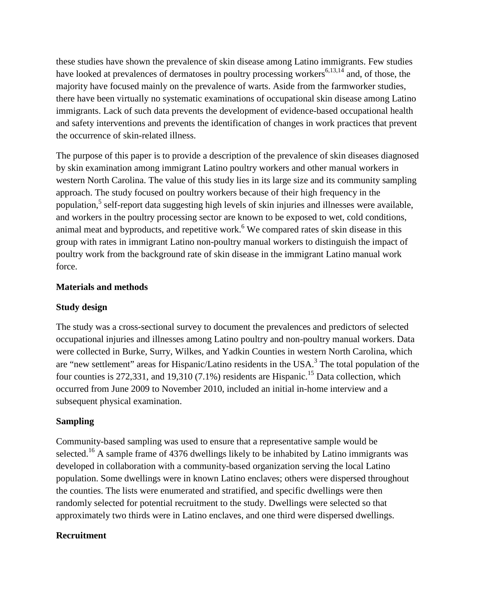these studies have shown the prevalence of skin disease among Latino immigrants. Few studies have looked at prevalences of dermatoses in poultry processing workers<sup>6,13,14</sup> and, of those, the majority have focused mainly on the prevalence of warts. Aside from the farmworker studies, there have been virtually no systematic examinations of occupational skin disease among Latino immigrants. Lack of such data prevents the development of evidence-based occupational health and safety interventions and prevents the identification of changes in work practices that prevent the occurrence of skin-related illness.

The purpose of this paper is to provide a description of the prevalence of skin diseases diagnosed by skin examination among immigrant Latino poultry workers and other manual workers in western North Carolina. The value of this study lies in its large size and its community sampling approach. The study focused on poultry workers because of their high frequency in the population,<sup>5</sup> self-report data suggesting high levels of skin injuries and illnesses were available, and workers in the poultry processing sector are known to be exposed to wet, cold conditions, animal meat and byproducts, and repetitive work.<sup>6</sup> We compared rates of skin disease in this group with rates in immigrant Latino non-poultry manual workers to distinguish the impact of poultry work from the background rate of skin disease in the immigrant Latino manual work force.

## **Materials and methods**

#### **Study design**

The study was a cross-sectional survey to document the prevalences and predictors of selected occupational injuries and illnesses among Latino poultry and non-poultry manual workers. Data were collected in Burke, Surry, Wilkes, and Yadkin Counties in western North Carolina, which are "new settlement" areas for Hispanic/Latino residents in the USA.<sup>3</sup> The total population of the four counties is 272,331, and 19,310 (7.1%) residents are Hispanic.<sup>15</sup> Data collection, which occurred from June 2009 to November 2010, included an initial in-home interview and a subsequent physical examination.

## **Sampling**

Community-based sampling was used to ensure that a representative sample would be selected.<sup>16</sup> A sample frame of 4376 dwellings likely to be inhabited by Latino immigrants was developed in collaboration with a community-based organization serving the local Latino population. Some dwellings were in known Latino enclaves; others were dispersed throughout the counties. The lists were enumerated and stratified, and specific dwellings were then randomly selected for potential recruitment to the study. Dwellings were selected so that approximately two thirds were in Latino enclaves, and one third were dispersed dwellings.

#### **Recruitment**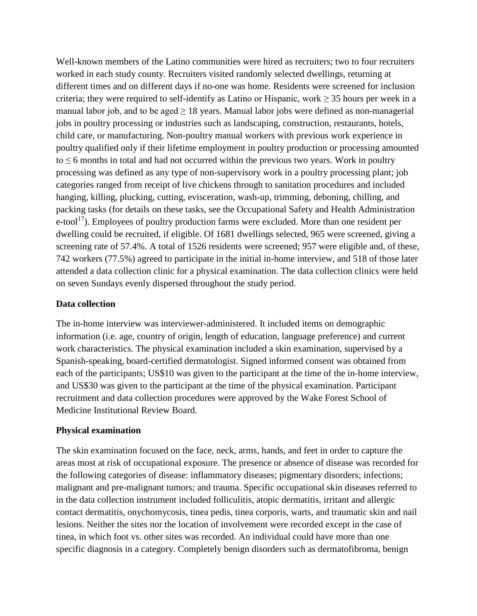Well-known members of the Latino communities were hired as recruiters; two to four recruiters worked in each study county. Recruiters visited randomly selected dwellings, returning at different times and on different days if no-one was home. Residents were screened for inclusion criteria; they were required to self-identify as Latino or Hispanic, work  $\geq$  35 hours per week in a manual labor job, and to be aged  $\geq$  18 years. Manual labor jobs were defined as non-managerial jobs in poultry processing or industries such as landscaping, construction, restaurants, hotels, child care, or manufacturing. Non-poultry manual workers with previous work experience in poultry qualified only if their lifetime employment in poultry production or processing amounted to  $\leq$  6 months in total and had not occurred within the previous two years. Work in poultry processing was defined as any type of non-supervisory work in a poultry processing plant; job categories ranged from receipt of live chickens through to sanitation procedures and included hanging, killing, plucking, cutting, evisceration, wash-up, trimming, deboning, chilling, and packing tasks (for details on these tasks, see the Occupational Safety and Health Administration  $e$ -tool<sup>17</sup>). Employees of poultry production farms were excluded. More than one resident per dwelling could be recruited, if eligible. Of 1681 dwellings selected, 965 were screened, giving a screening rate of 57.4%. A total of 1526 residents were screened; 957 were eligible and, of these, 742 workers (77.5%) agreed to participate in the initial in-home interview, and 518 of those later attended a data collection clinic for a physical examination. The data collection clinics were held on seven Sundays evenly dispersed throughout the study period.

### **Data collection**

The in-home interview was interviewer-administered. It included items on demographic information (i.e. age, country of origin, length of education, language preference) and current work characteristics. The physical examination included a skin examination, supervised by a Spanish-speaking, board-certified dermatologist. Signed informed consent was obtained from each of the participants; US\$10 was given to the participant at the time of the in-home interview, and US\$30 was given to the participant at the time of the physical examination. Participant recruitment and data collection procedures were approved by the Wake Forest School of Medicine Institutional Review Board.

#### **Physical examination**

The skin examination focused on the face, neck, arms, hands, and feet in order to capture the areas most at risk of occupational exposure. The presence or absence of disease was recorded for the following categories of disease: inflammatory diseases; pigmentary disorders; infections; malignant and pre-malignant tumors; and trauma. Specific occupational skin diseases referred to in the data collection instrument included folliculitis, atopic dermatitis, irritant and allergic contact dermatitis, onychomycosis, tinea pedis, tinea corporis, warts, and traumatic skin and nail lesions. Neither the sites nor the location of involvement were recorded except in the case of tinea, in which foot vs. other sites was recorded. An individual could have more than one specific diagnosis in a category. Completely benign disorders such as dermatofibroma, benign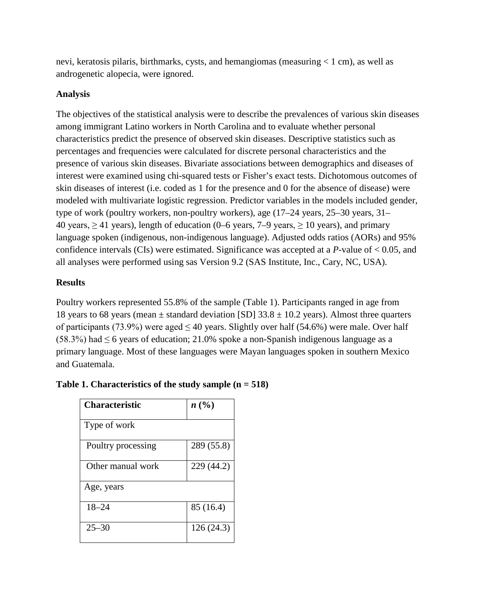nevi, keratosis pilaris, birthmarks, cysts, and hemangiomas (measuring < 1 cm), as well as androgenetic alopecia, were ignored.

## **Analysis**

The objectives of the statistical analysis were to describe the prevalences of various skin diseases among immigrant Latino workers in North Carolina and to evaluate whether personal characteristics predict the presence of observed skin diseases. Descriptive statistics such as percentages and frequencies were calculated for discrete personal characteristics and the presence of various skin diseases. Bivariate associations between demographics and diseases of interest were examined using chi-squared tests or Fisher's exact tests. Dichotomous outcomes of skin diseases of interest (i.e. coded as 1 for the presence and 0 for the absence of disease) were modeled with multivariate logistic regression. Predictor variables in the models included gender, type of work (poultry workers, non-poultry workers), age (17–24 years, 25–30 years, 31– 40 years,  $\geq$  41 years), length of education (0–6 years, 7–9 years,  $\geq$  10 years), and primary language spoken (indigenous, non-indigenous language). Adjusted odds ratios (AORs) and 95% confidence intervals (CIs) were estimated. Significance was accepted at a *P*-value of < 0.05, and all analyses were performed using sas Version 9.2 (SAS Institute, Inc., Cary, NC, USA).

# **Results**

Poultry workers represented 55.8% of the sample (Table 1). Participants ranged in age from 18 years to 68 years (mean  $\pm$  standard deviation [SD] 33.8  $\pm$  10.2 years). Almost three quarters of participants (73.9%) were aged  $\leq 40$  years. Slightly over half (54.6%) were male. Over half (58.3%) had  $\leq$  6 years of education; 21.0% spoke a non-Spanish indigenous language as a primary language. Most of these languages were Mayan languages spoken in southern Mexico and Guatemala.

| Characteristic     | n(%)       |
|--------------------|------------|
| Type of work       |            |
| Poultry processing | 289 (55.8) |
| Other manual work  | 229 (44.2) |
| Age, years         |            |
| $18 - 24$          | 85 (16.4)  |
| $25 - 30$          | 126 (24.3) |

## **Table 1. Characteristics of the study sample (n = 518)**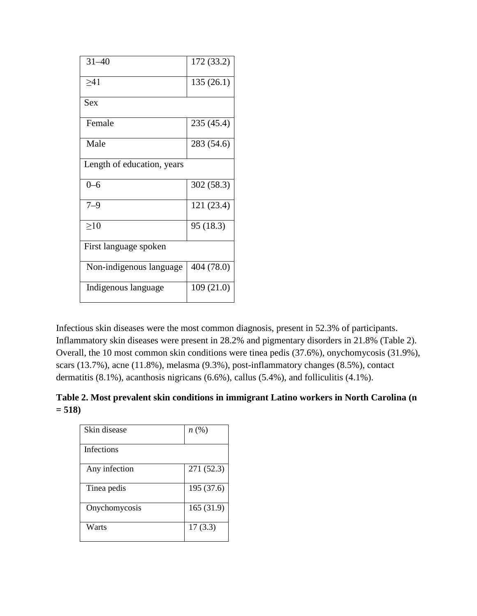| $31 - 40$                  | 172 (33.2) |
|----------------------------|------------|
| $\geq 41$                  | 135(26.1)  |
| Sex                        |            |
| Female                     | 235 (45.4) |
| Male                       | 283 (54.6) |
| Length of education, years |            |
| $0 - 6$                    | 302 (58.3) |
| $7 - 9$                    | 121 (23.4) |
| >10                        | 95 (18.3)  |
| First language spoken      |            |
| Non-indigenous language    | 404 (78.0) |
| Indigenous language        | 109(21.0)  |

Infectious skin diseases were the most common diagnosis, present in 52.3% of participants. Inflammatory skin diseases were present in 28.2% and pigmentary disorders in 21.8% (Table 2). Overall, the 10 most common skin conditions were tinea pedis (37.6%), onychomycosis (31.9%), scars (13.7%), acne (11.8%), melasma (9.3%), post-inflammatory changes (8.5%), contact dermatitis (8.1%), acanthosis nigricans (6.6%), callus (5.4%), and folliculitis (4.1%).

**Table 2. Most prevalent skin conditions in immigrant Latino workers in North Carolina (n = 518)**

| Skin disease      | $n\left(\%\right)$ |
|-------------------|--------------------|
| <b>Infections</b> |                    |
| Any infection     | 271 (52.3)         |
| Tinea pedis       | 195 (37.6)         |
| Onychomycosis     | 165(31.9)          |
| Warts             | 17(3.3)            |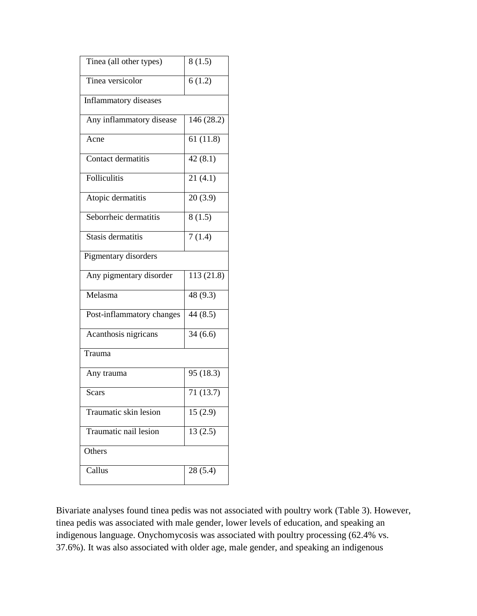| Tinea (all other types)   | 8(1.5)     |
|---------------------------|------------|
| Tinea versicolor          | 6(1.2)     |
| Inflammatory diseases     |            |
| Any inflammatory disease  | 146 (28.2) |
| Acne                      | 61(11.8)   |
| Contact dermatitis        | 42(8.1)    |
| Folliculitis              | 21(4.1)    |
| Atopic dermatitis         | 20(3.9)    |
| Seborrheic dermatitis     | 8(1.5)     |
| Stasis dermatitis         | 7(1.4)     |
| Pigmentary disorders      |            |
| Any pigmentary disorder   | 113 (21.8) |
| Melasma                   | 48 (9.3)   |
| Post-inflammatory changes | 44(8.5)    |
| Acanthosis nigricans      | 34(6.6)    |
| Trauma                    |            |
| Any trauma                | 95 (18.3)  |
| <b>Scars</b>              | 71(13.7)   |
| Traumatic skin lesion     | 15(2.9)    |
| Traumatic nail lesion     | 13(2.5)    |
| Others                    |            |
| Callus                    | 28(5.4)    |

Bivariate analyses found tinea pedis was not associated with poultry work (Table 3). However, tinea pedis was associated with male gender, lower levels of education, and speaking an indigenous language. Onychomycosis was associated with poultry processing (62.4% vs. 37.6%). It was also associated with older age, male gender, and speaking an indigenous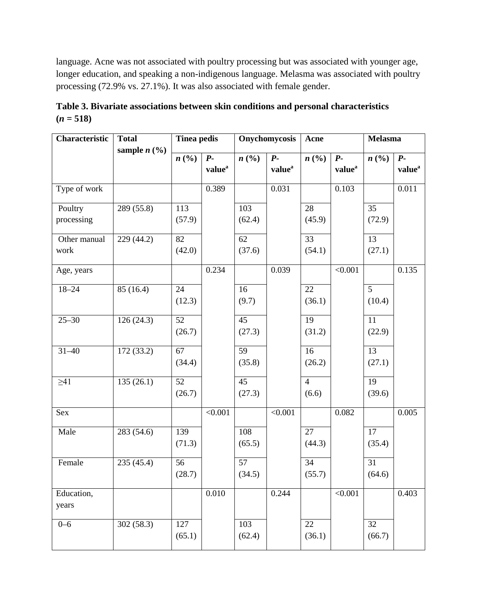language. Acne was not associated with poultry processing but was associated with younger age, longer education, and speaking a non-indigenous language. Melasma was associated with poultry processing (72.9% vs. 27.1%). It was also associated with female gender.

| Characteristic | <b>Total</b><br>sample $n$ (%) | <b>Tinea pedis</b> |                    | Onychomycosis   |                    | Acne            |                    | Melasma        |                    |
|----------------|--------------------------------|--------------------|--------------------|-----------------|--------------------|-----------------|--------------------|----------------|--------------------|
|                |                                | n(%)               | $P-$               | n(%)            | $P-$               | n(%)            | $P -$              | n(%)           | $P -$              |
|                |                                |                    | value <sup>a</sup> |                 | value <sup>a</sup> |                 | value <sup>a</sup> |                | value <sup>a</sup> |
| Type of work   |                                |                    | 0.389              |                 | 0.031              |                 | 0.103              |                | 0.011              |
| Poultry        | 289 (55.8)                     | 113                |                    | 103             |                    | 28              |                    | 35             |                    |
| processing     |                                | (57.9)             |                    | (62.4)          |                    | (45.9)          |                    | (72.9)         |                    |
| Other manual   | 229 (44.2)                     | 82                 |                    | 62              |                    | 33              |                    | 13             |                    |
| work           |                                | (42.0)             |                    | (37.6)          |                    | (54.1)          |                    | (27.1)         |                    |
| Age, years     |                                |                    | 0.234              |                 | 0.039              |                 | < 0.001            |                | 0.135              |
| $18 - 24$      | 85 (16.4)                      | 24                 |                    | 16              |                    | 22              |                    | $\overline{5}$ |                    |
|                |                                | (12.3)             |                    | (9.7)           |                    | (36.1)          |                    | (10.4)         |                    |
| $25 - 30$      | 126(24.3)                      | 52                 |                    | 45              |                    | 19              |                    | 11             |                    |
|                |                                | (26.7)             |                    | (27.3)          |                    | (31.2)          |                    | (22.9)         |                    |
| $31 - 40$      | 172(33.2)                      | 67                 |                    | 59              |                    | 16              |                    | 13             |                    |
|                |                                | (34.4)             |                    | (35.8)          |                    | (26.2)          |                    | (27.1)         |                    |
| $\geq 41$      | 135(26.1)                      | $\overline{52}$    |                    | $\overline{45}$ |                    | $\overline{4}$  |                    | 19             |                    |
|                |                                | (26.7)             |                    | (27.3)          |                    | (6.6)           |                    | (39.6)         |                    |
| Sex            |                                |                    | < 0.001            |                 | < 0.001            |                 | 0.082              |                | 0.005              |
| Male           | 283 (54.6)                     | 139                |                    | 108             |                    | $\overline{27}$ |                    | 17             |                    |
|                |                                | (71.3)             |                    | (65.5)          |                    | (44.3)          |                    | (35.4)         |                    |
| Female         | 235 (45.4)                     | 56                 |                    | 57              |                    | 34              |                    | 31             |                    |
|                |                                | (28.7)             |                    | (34.5)          |                    | (55.7)          |                    | (64.6)         |                    |
| Education,     |                                |                    | 0.010              |                 | 0.244              |                 | < 0.001            |                | 0.403              |
| years          |                                |                    |                    |                 |                    |                 |                    |                |                    |
| $0 - 6$        | 302 (58.3)                     | 127                |                    | 103             |                    | 22              |                    | 32             |                    |
|                |                                | (65.1)             |                    | (62.4)          |                    | (36.1)          |                    | (66.7)         |                    |

**Table 3. Bivariate associations between skin conditions and personal characteristics**   $(n = 518)$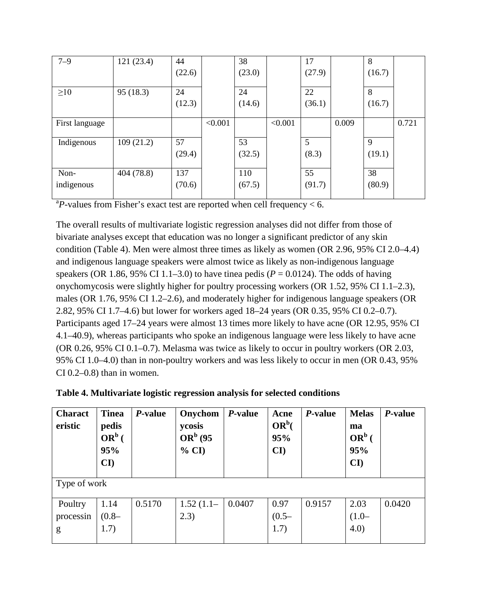| $7 - 9$        | 121(23.4)  | 44     |         | 38     |         | 17     |       | 8      |       |
|----------------|------------|--------|---------|--------|---------|--------|-------|--------|-------|
|                |            | (22.6) |         | (23.0) |         | (27.9) |       | (16.7) |       |
| $\geq 10$      | 95(18.3)   | 24     |         | 24     |         | 22     |       | 8      |       |
|                |            | (12.3) |         | (14.6) |         | (36.1) |       | (16.7) |       |
| First language |            |        | < 0.001 |        | < 0.001 |        | 0.009 |        | 0.721 |
| Indigenous     | 109(21.2)  | 57     |         | 53     |         | 5      |       | 9      |       |
|                |            | (29.4) |         | (32.5) |         | (8.3)  |       | (19.1) |       |
| Non-           | 404 (78.8) | 137    |         | 110    |         | 55     |       | 38     |       |
| indigenous     |            | (70.6) |         | (67.5) |         | (91.7) |       | (80.9) |       |

 ${}^{a}P$ -values from Fisher's exact test are reported when cell frequency < 6.

The overall results of multivariate logistic regression analyses did not differ from those of bivariate analyses except that education was no longer a significant predictor of any skin condition (Table 4). Men were almost three times as likely as women (OR 2.96, 95% CI 2.0–4.4) and indigenous language speakers were almost twice as likely as non-indigenous language speakers (OR 1.86, 95% CI 1.1–3.0) to have tinea pedis ( $P = 0.0124$ ). The odds of having onychomycosis were slightly higher for poultry processing workers (OR 1.52, 95% CI 1.1–2.3), males (OR 1.76, 95% CI 1.2–2.6), and moderately higher for indigenous language speakers (OR 2.82, 95% CI 1.7–4.6) but lower for workers aged 18–24 years (OR 0.35, 95% CI 0.2–0.7). Participants aged 17–24 years were almost 13 times more likely to have acne (OR 12.95, 95% CI 4.1–40.9), whereas participants who spoke an indigenous language were less likely to have acne (OR 0.26, 95% CI 0.1–0.7). Melasma was twice as likely to occur in poultry workers (OR 2.03, 95% CI 1.0–4.0) than in non-poultry workers and was less likely to occur in men (OR 0.43, 95%  $CI$  0.2–0.8) than in women.

| <b>Charact</b><br>eristic | <b>Tinea</b><br>pedis<br>$OR^b$ (<br>95%<br>$\mathbf{C}\mathbf{I}$ | P-value | Onychom<br>ycosis<br>$ORb$ (95<br>% CI | <i>P</i> -value | Acne<br>$OR^b($<br>95%<br>$\mathbf{C}\mathbf{I}$ | P-value | <b>Melas</b><br>ma<br>$OR^b$ (<br>95%<br>$\mathbf{C}\mathbf{I}$ | <i>P</i> -value |  |  |
|---------------------------|--------------------------------------------------------------------|---------|----------------------------------------|-----------------|--------------------------------------------------|---------|-----------------------------------------------------------------|-----------------|--|--|
|                           | Type of work                                                       |         |                                        |                 |                                                  |         |                                                                 |                 |  |  |
| Poultry                   | 1.14                                                               | 0.5170  | $1.52(1.1-$                            | 0.0407          | 0.97                                             | 0.9157  | 2.03                                                            | 0.0420          |  |  |
| processin                 | $(0.8 -$                                                           |         | 2.3)                                   |                 | $(0.5 -$                                         |         | $(1.0-$                                                         |                 |  |  |
| g                         | 1.7)                                                               |         |                                        |                 | 1.7)                                             |         | 4.0)                                                            |                 |  |  |

| Table 4. Multivariate logistic regression analysis for selected conditions |  |  |  |
|----------------------------------------------------------------------------|--|--|--|
|                                                                            |  |  |  |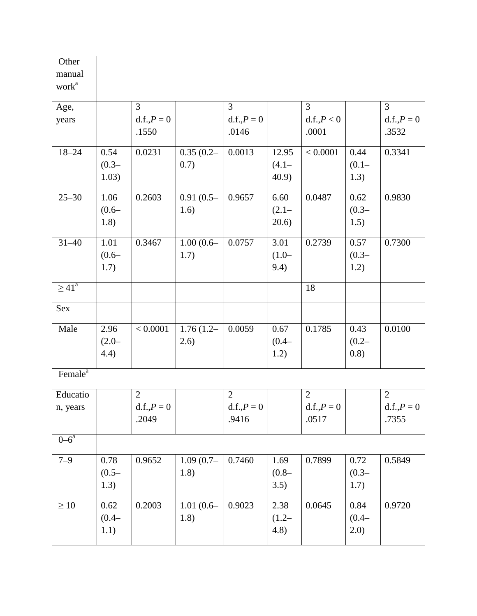| Other               |          |                |             |                |          |                |          |                |
|---------------------|----------|----------------|-------------|----------------|----------|----------------|----------|----------------|
| manual              |          |                |             |                |          |                |          |                |
| work <sup>a</sup>   |          |                |             |                |          |                |          |                |
| Age,                |          | 3              |             | 3              |          | $\overline{3}$ |          | $\overline{3}$ |
| years               |          | $d.f., P = 0$  |             | $d.f., P = 0$  |          | d.f., P < 0    |          | $d.f., P = 0$  |
|                     |          | .1550          |             | .0146          |          | .0001          |          | .3532          |
| $18 - 24$           | 0.54     | 0.0231         | $0.35(0.2-$ | 0.0013         | 12.95    | < 0.0001       | 0.44     | 0.3341         |
|                     | $(0.3 -$ |                | 0.7)        |                | $(4.1 -$ |                | $(0.1 -$ |                |
|                     | 1.03)    |                |             |                | 40.9     |                | 1.3)     |                |
| $25 - 30$           | 1.06     | 0.2603         | $0.91(0.5-$ | 0.9657         | 6.60     | 0.0487         | 0.62     | 0.9830         |
|                     | $(0.6 -$ |                | 1.6)        |                | $(2.1 -$ |                | $(0.3 -$ |                |
|                     | 1.8)     |                |             |                | 20.6)    |                | 1.5)     |                |
| $31 - 40$           | 1.01     | 0.3467         | $1.00(0.6-$ | 0.0757         | 3.01     | 0.2739         | 0.57     | 0.7300         |
|                     | $(0.6 -$ |                | 1.7)        |                | $(1.0 -$ |                | $(0.3 -$ |                |
|                     | 1.7)     |                |             |                | 9.4)     |                | 1.2)     |                |
| $\geq 41^{\circ}$   |          |                |             |                |          | 18             |          |                |
| Sex                 |          |                |             |                |          |                |          |                |
| Male                | 2.96     | < 0.0001       | $1.76(1.2-$ | 0.0059         | 0.67     | 0.1785         | 0.43     | 0.0100         |
|                     | $(2.0 -$ |                | 2.6)        |                | $(0.4 -$ |                | $(0.2 -$ |                |
|                     | 4.4)     |                |             |                | 1.2)     |                | (0.8)    |                |
| Female <sup>a</sup> |          |                |             |                |          |                |          |                |
| Educatio            |          | $\overline{2}$ |             | $\overline{2}$ |          | $\sqrt{2}$     |          | $\mathbf{2}$   |
| n, years            |          | $d.f., P = 0$  |             | $d.f., P = 0$  |          | $d.f., P = 0$  |          | $d.f., P = 0$  |
|                     |          | .2049          |             | .9416          |          | .0517          |          | .7355          |
|                     |          |                |             |                |          |                |          |                |
| $0 - 6^a$           |          |                |             |                |          |                |          |                |
| $7 - 9$             | 0.78     | 0.9652         | $1.09(0.7-$ | 0.7460         | 1.69     | 0.7899         | 0.72     | 0.5849         |
|                     | $(0.5 -$ |                | 1.8)        |                | $(0.8 -$ |                | $(0.3 -$ |                |
|                     | 1.3)     |                |             |                | 3.5)     |                | 1.7)     |                |
| $\geq 10$           | 0.62     | 0.2003         | $1.01(0.6-$ | 0.9023         | 2.38     | 0.0645         | 0.84     | 0.9720         |
|                     | $(0.4 -$ |                | 1.8)        |                | $(1.2 -$ |                | $(0.4 -$ |                |
|                     | 1.1)     |                |             |                | (4.8)    |                | 2.0)     |                |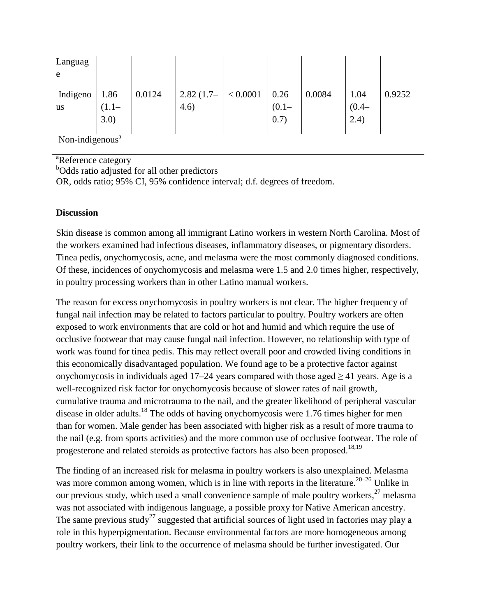| Languag                     |          |        |             |          |          |        |          |        |
|-----------------------------|----------|--------|-------------|----------|----------|--------|----------|--------|
| e                           |          |        |             |          |          |        |          |        |
|                             |          |        |             |          |          |        |          |        |
| Indigeno                    | 1.86     | 0.0124 | $2.82(1.7-$ | < 0.0001 | 0.26     | 0.0084 | 1.04     | 0.9252 |
| <b>us</b>                   | $(1.1 -$ |        | 4.6)        |          | $(0.1 -$ |        | $(0.4 -$ |        |
|                             | 3.0)     |        |             |          | 0.7)     |        | (2.4)    |        |
|                             |          |        |             |          |          |        |          |        |
| Non-indigenous <sup>a</sup> |          |        |             |          |          |        |          |        |

<sup>a</sup>Reference category

<sup>b</sup>Odds ratio adjusted for all other predictors

OR, odds ratio; 95% CI, 95% confidence interval; d.f. degrees of freedom.

## **Discussion**

Skin disease is common among all immigrant Latino workers in western North Carolina. Most of the workers examined had infectious diseases, inflammatory diseases, or pigmentary disorders. Tinea pedis, onychomycosis, acne, and melasma were the most commonly diagnosed conditions. Of these, incidences of onychomycosis and melasma were 1.5 and 2.0 times higher, respectively, in poultry processing workers than in other Latino manual workers.

The reason for excess onychomycosis in poultry workers is not clear. The higher frequency of fungal nail infection may be related to factors particular to poultry. Poultry workers are often exposed to work environments that are cold or hot and humid and which require the use of occlusive footwear that may cause fungal nail infection. However, no relationship with type of work was found for tinea pedis. This may reflect overall poor and crowded living conditions in this economically disadvantaged population. We found age to be a protective factor against onychomycosis in individuals aged 17–24 years compared with those aged  $\geq$  41 years. Age is a well-recognized risk factor for onychomycosis because of slower rates of nail growth, cumulative trauma and microtrauma to the nail, and the greater likelihood of peripheral vascular disease in older adults.<sup>18</sup> The odds of having onychomycosis were 1.76 times higher for men than for women. Male gender has been associated with higher risk as a result of more trauma to the nail (e.g. from sports activities) and the more common use of occlusive footwear. The role of progesterone and related steroids as protective factors has also been proposed.<sup>18,19</sup>

The finding of an increased risk for melasma in poultry workers is also unexplained. Melasma was more common among women, which is in line with reports in the literature.<sup>20–26</sup> Unlike in our previous study, which used a small convenience sample of male poultry workers, $27$  melasma was not associated with indigenous language, a possible proxy for Native American ancestry. The same previous study<sup>27</sup> suggested that artificial sources of light used in factories may play a role in this hyperpigmentation. Because environmental factors are more homogeneous among poultry workers, their link to the occurrence of melasma should be further investigated. Our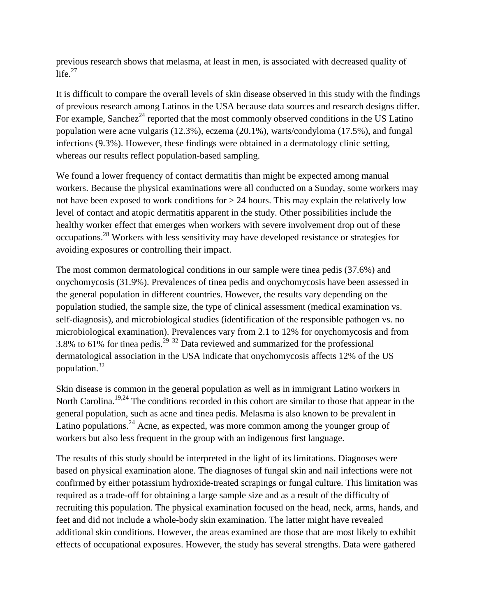previous research shows that melasma, at least in men, is associated with decreased quality of life. $27$ 

It is difficult to compare the overall levels of skin disease observed in this study with the findings of previous research among Latinos in the USA because data sources and research designs differ. For example, Sanchez<sup>24</sup> reported that the most commonly observed conditions in the US Latino population were acne vulgaris (12.3%), eczema (20.1%), warts/condyloma (17.5%), and fungal infections (9.3%). However, these findings were obtained in a dermatology clinic setting, whereas our results reflect population-based sampling.

We found a lower frequency of contact dermatitis than might be expected among manual workers. Because the physical examinations were all conducted on a Sunday, some workers may not have been exposed to work conditions for > 24 hours. This may explain the relatively low level of contact and atopic dermatitis apparent in the study. Other possibilities include the healthy worker effect that emerges when workers with severe involvement drop out of these occupations.28 Workers with less sensitivity may have developed resistance or strategies for avoiding exposures or controlling their impact.

The most common dermatological conditions in our sample were tinea pedis (37.6%) and onychomycosis (31.9%). Prevalences of tinea pedis and onychomycosis have been assessed in the general population in different countries. However, the results vary depending on the population studied, the sample size, the type of clinical assessment (medical examination vs. self-diagnosis), and microbiological studies (identification of the responsible pathogen vs. no microbiological examination). Prevalences vary from 2.1 to 12% for onychomycosis and from 3.8% to 61% for tinea pedis.<sup>29–32</sup> Data reviewed and summarized for the professional dermatological association in the USA indicate that onychomycosis affects 12% of the US population.32

Skin disease is common in the general population as well as in immigrant Latino workers in North Carolina.<sup>19,24</sup> The conditions recorded in this cohort are similar to those that appear in the general population, such as acne and tinea pedis. Melasma is also known to be prevalent in Latino populations.<sup>24</sup> Acne, as expected, was more common among the younger group of workers but also less frequent in the group with an indigenous first language.

The results of this study should be interpreted in the light of its limitations. Diagnoses were based on physical examination alone. The diagnoses of fungal skin and nail infections were not confirmed by either potassium hydroxide-treated scrapings or fungal culture. This limitation was required as a trade-off for obtaining a large sample size and as a result of the difficulty of recruiting this population. The physical examination focused on the head, neck, arms, hands, and feet and did not include a whole-body skin examination. The latter might have revealed additional skin conditions. However, the areas examined are those that are most likely to exhibit effects of occupational exposures. However, the study has several strengths. Data were gathered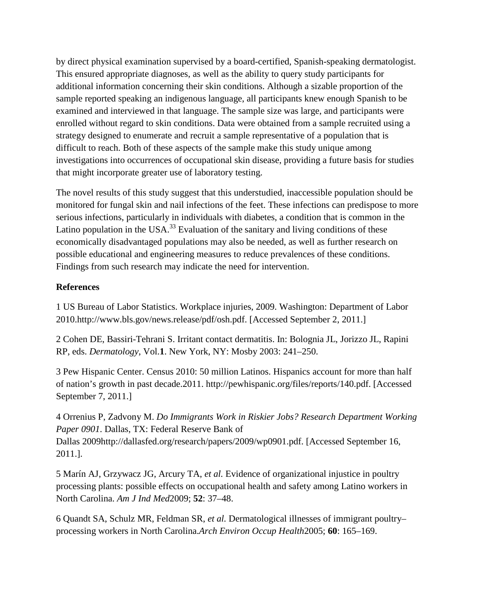by direct physical examination supervised by a board-certified, Spanish-speaking dermatologist. This ensured appropriate diagnoses, as well as the ability to query study participants for additional information concerning their skin conditions. Although a sizable proportion of the sample reported speaking an indigenous language, all participants knew enough Spanish to be examined and interviewed in that language. The sample size was large, and participants were enrolled without regard to skin conditions. Data were obtained from a sample recruited using a strategy designed to enumerate and recruit a sample representative of a population that is difficult to reach. Both of these aspects of the sample make this study unique among investigations into occurrences of occupational skin disease, providing a future basis for studies that might incorporate greater use of laboratory testing.

The novel results of this study suggest that this understudied, inaccessible population should be monitored for fungal skin and nail infections of the feet. These infections can predispose to more serious infections, particularly in individuals with diabetes, a condition that is common in the Latino population in the USA.<sup>33</sup> Evaluation of the sanitary and living conditions of these economically disadvantaged populations may also be needed, as well as further research on possible educational and engineering measures to reduce prevalences of these conditions. Findings from such research may indicate the need for intervention.

### **References**

1 US Bureau of Labor Statistics. Workplace injuries, 2009. Washington: Department of Labor 2010.http://www.bls.gov/news.release/pdf/osh.pdf. [Accessed September 2, 2011.]

2 Cohen DE, Bassiri-Tehrani S. Irritant contact dermatitis. In: Bolognia JL, Jorizzo JL, Rapini RP, eds. *Dermatology*, Vol.**1**. New York, NY: Mosby 2003: 241–250.

3 Pew Hispanic Center. Census 2010: 50 million Latinos. Hispanics account for more than half of nation's growth in past decade.2011. http://pewhispanic.org/files/reports/140.pdf. [Accessed September 7, 2011.]

4 Orrenius P, Zadvony M. *Do Immigrants Work in Riskier Jobs? Research Department Working Paper 0901*. Dallas, TX: Federal Reserve Bank of Dallas 2009http://dallasfed.org/research/papers/2009/wp0901.pdf. [Accessed September 16, 2011.].

5 Marín AJ, Grzywacz JG, Arcury TA, *et al.* Evidence of organizational injustice in poultry processing plants: possible effects on occupational health and safety among Latino workers in North Carolina. *Am J Ind Med*2009; **52**: 37–48.

6 Quandt SA, Schulz MR, Feldman SR, *et al.* Dermatological illnesses of immigrant poultry– processing workers in North Carolina.*Arch Environ Occup Health*2005; **60**: 165–169.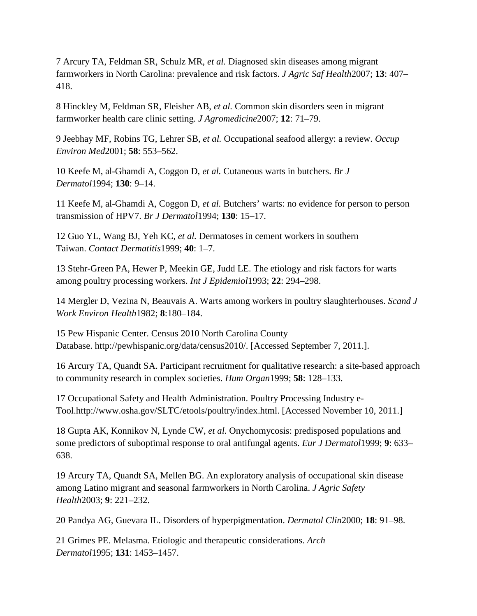7 Arcury TA, Feldman SR, Schulz MR, *et al.* Diagnosed skin diseases among migrant farmworkers in North Carolina: prevalence and risk factors. *J Agric Saf Health*2007; **13**: 407– 418.

8 Hinckley M, Feldman SR, Fleisher AB, *et al.* Common skin disorders seen in migrant farmworker health care clinic setting. *J Agromedicine*2007; **12**: 71–79.

9 Jeebhay MF, Robins TG, Lehrer SB, *et al.* Occupational seafood allergy: a review. *Occup Environ Med*2001; **58**: 553–562.

10 Keefe M, al-Ghamdi A, Coggon D, *et al.* Cutaneous warts in butchers. *Br J Dermatol*1994; **130**: 9–14.

11 Keefe M, al-Ghamdi A, Coggon D, *et al.* Butchers' warts: no evidence for person to person transmission of HPV7. *Br J Dermatol*1994; **130**: 15–17.

12 Guo YL, Wang BJ, Yeh KC, *et al.* Dermatoses in cement workers in southern Taiwan. *Contact Dermatitis*1999; **40**: 1–7.

13 Stehr-Green PA, Hewer P, Meekin GE, Judd LE. The etiology and risk factors for warts among poultry processing workers. *Int J Epidemiol*1993; **22**: 294–298.

14 Mergler D, Vezina N, Beauvais A. Warts among workers in poultry slaughterhouses. *Scand J Work Environ Health*1982; **8**:180–184.

15 Pew Hispanic Center. Census 2010 North Carolina County Database. http://pewhispanic.org/data/census2010/. [Accessed September 7, 2011.].

16 Arcury TA, Quandt SA. Participant recruitment for qualitative research: a site-based approach to community research in complex societies. *Hum Organ*1999; **58**: 128–133.

17 Occupational Safety and Health Administration. Poultry Processing Industry e-Tool.http://www.osha.gov/SLTC/etools/poultry/index.html. [Accessed November 10, 2011.]

18 Gupta AK, Konnikov N, Lynde CW, *et al.* Onychomycosis: predisposed populations and some predictors of suboptimal response to oral antifungal agents. *Eur J Dermatol*1999; **9**: 633– 638.

19 Arcury TA, Quandt SA, Mellen BG. An exploratory analysis of occupational skin disease among Latino migrant and seasonal farmworkers in North Carolina. *J Agric Safety Health*2003; **9**: 221–232.

20 Pandya AG, Guevara IL. Disorders of hyperpigmentation. *Dermatol Clin*2000; **18**: 91–98.

21 Grimes PE. Melasma. Etiologic and therapeutic considerations. *Arch Dermatol*1995; **131**: 1453–1457.